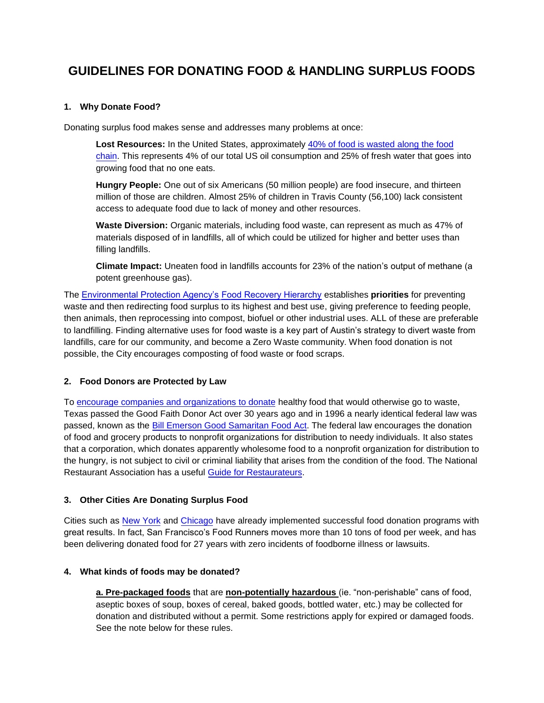## **GUIDELINES FOR DONATING FOOD & HANDLING SURPLUS FOODS**

#### **1. Why Donate Food?**

Donating surplus food makes sense and addresses many problems at once:

**Lost Resources:** In the United States, approximately [40% of food is wasted along the food](http://www.nrdc.org/food/files/wasted-food-IP.pdf) [chain.](http://www.nrdc.org/food/files/wasted-food-IP.pdf) This represents 4% of our total US oil consumption and 25% of fresh water that goes into growing food that no one eats.

**Hungry People:** One out of six Americans (50 million people) are food insecure, and thirteen million of those are children. Almost 25% of children in Travis County (56,100) lack consistent access to adequate food due to lack of money and other resources.

**Waste Diversion:** Organic materials, including food waste, can represent as much as 47% of materials disposed of in landfills, all of which could be utilized for higher and better uses than filling landfills.

**Climate Impact:** Uneaten food in landfills accounts for 23% of the nation's output of methane (a potent greenhouse gas).

The [Environmental Protection Agency's](http://www.epa.gov/foodrecovery/) [Food Recovery Hierarchy](http://www.epa.gov/foodrecovery/) establishes **priorities** for preventing waste and then redirecting food surplus to its highest and best use, giving preference to feeding people, then animals, then reprocessing into compost, biofuel or other industrial uses. ALL of these are preferable to landfilling. Finding alternative uses for food waste is a key part of Austin's strategy to divert waste from landfills, care for our community, and become a Zero Waste community. When food donation is not possible, the City encourages composting of food waste or food scraps.

#### **2. Food Donors are Protected by Law**

To [encourage companies and organizations to donate](http://feedingamerica.org/get-involved/corporate-opportunities/become-a-partner/become-a-product-partner/protecting-our-food-partners.aspx) healthy food that would otherwise go to waste, Texas passed the Good Faith Donor Act over 30 years ago and in 1996 a nearly identical federal law was passed, known as the [Bill Emerson Good Samaritan Food Act.](http://www.gpo.gov/fdsys/pkg/PLAW-104publ210/pdf/PLAW-104publ210.pdf) The federal law encourages the donation of food and grocery products to nonprofit organizations for distribution to needy individuals. It also states that a corporation, which donates apparently wholesome food to a nonprofit organization for distribution to the hungry, is not subject to civil or criminal liability that arises from the condition of the food. The National Restaurant Association has a useful [Guide for Restaurateurs.](http://infohouse.p2ric.org/ref/12/11907.pdf)

#### **3. Other Cities Are Donating Surplus Food**

Cities such as [New York](http://www.nyc.gov/html/doh/downloads/pdf/public/food-donor-resource-guide.PDF) and [Chicago](http://www.chicagosfoodbank.org/site/PageServer) have already implemented successful food donation programs with great results. In fact, San Francisco's Food Runners moves more than 10 tons of food per week, and has been delivering donated food for 27 years with zero incidents of foodborne illness or lawsuits.

#### **4. What kinds of foods may be donated?**

**a. Pre-packaged foods** that are **non-potentially hazardous** (ie. "non-perishable" cans of food, aseptic boxes of soup, boxes of cereal, baked goods, bottled water, etc.) may be collected for donation and distributed without a permit. Some restrictions apply for expired or damaged foods. See the note below for these rules.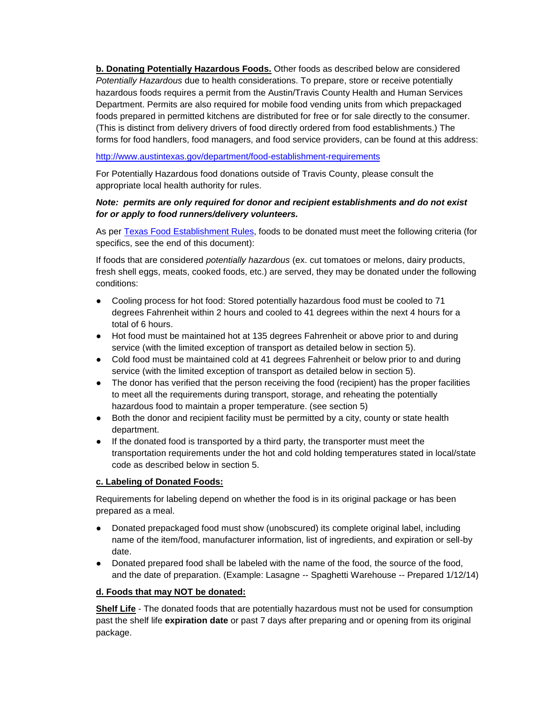**b. Donating Potentially Hazardous Foods.** Other foods as described below are considered *Potentially Hazardous* due to health considerations. To prepare, store or receive potentially hazardous foods requires a permit from the Austin/Travis County Health and Human Services Department. Permits are also required for mobile food vending units from which prepackaged foods prepared in permitted kitchens are distributed for free or for sale directly to the consumer. (This is distinct from delivery drivers of food directly ordered from food establishments.) The forms for food handlers, food managers, and food service providers, can be found at this address:

#### <http://www.austintexas.gov/department/food-establishment-requirements>

For Potentially Hazardous food donations outside of Travis County, please consult the appropriate local health authority for rules.

#### *Note: permits are only required for donor and recipient establishments and do not exist for or apply to food runners/delivery volunteers.*

As per [Texas Food Establishment Rules,](http://www.austintexas.gov/department/food-establishment-requirements) foods to be donated must meet the following criteria (for specifics, see the end of this document):

If foods that are considered *potentially hazardous* (ex. cut tomatoes or melons, dairy products, fresh shell eggs, meats, cooked foods, etc.) are served, they may be donated under the following conditions:

- Cooling process for hot food: Stored potentially hazardous food must be cooled to 71 degrees Fahrenheit within 2 hours and cooled to 41 degrees within the next 4 hours for a total of 6 hours.
- Hot food must be maintained hot at 135 degrees Fahrenheit or above prior to and during service (with the limited exception of transport as detailed below in section 5).
- Cold food must be maintained cold at 41 degrees Fahrenheit or below prior to and during service (with the limited exception of transport as detailed below in section 5).
- The donor has verified that the person receiving the food (recipient) has the proper facilities to meet all the requirements during transport, storage, and reheating the potentially hazardous food to maintain a proper temperature. (see section 5)
- Both the donor and recipient facility must be permitted by a city, county or state health department.
- If the donated food is transported by a third party, the transporter must meet the transportation requirements under the hot and cold holding temperatures stated in local/state code as described below in section 5.

#### **c. Labeling of Donated Foods:**

Requirements for labeling depend on whether the food is in its original package or has been prepared as a meal.

- Donated prepackaged food must show (unobscured) its complete original label, including name of the item/food, manufacturer information, list of ingredients, and expiration or sell-by date.
- Donated prepared food shall be labeled with the name of the food, the source of the food, and the date of preparation. (Example: Lasagne -- Spaghetti Warehouse -- Prepared 1/12/14)

#### **d. Foods that may NOT be donated:**

**Shelf Life** - The donated foods that are potentially hazardous must not be used for consumption past the shelf life **expiration date** or past 7 days after preparing and or opening from its original package.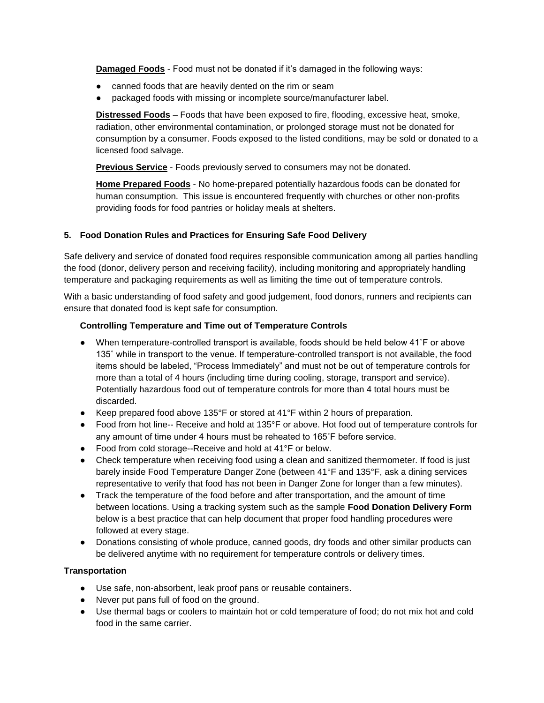**Damaged Foods** - Food must not be donated if it's damaged in the following ways:

- canned foods that are heavily dented on the rim or seam
- packaged foods with missing or incomplete source/manufacturer label.

**Distressed Foods** – Foods that have been exposed to fire, flooding, excessive heat, smoke, radiation, other environmental contamination, or prolonged storage must not be donated for consumption by a consumer. Foods exposed to the listed conditions, may be sold or donated to a licensed food salvage.

**Previous Service** - Foods previously served to consumers may not be donated.

**Home Prepared Foods** - No home-prepared potentially hazardous foods can be donated for human consumption. This issue is encountered frequently with churches or other non-profits providing foods for food pantries or holiday meals at shelters.

#### **5. Food Donation Rules and Practices for Ensuring Safe Food Delivery**

Safe delivery and service of donated food requires responsible communication among all parties handling the food (donor, delivery person and receiving facility), including monitoring and appropriately handling temperature and packaging requirements as well as limiting the time out of temperature controls.

With a basic understanding of food safety and good judgement, food donors, runners and recipients can ensure that donated food is kept safe for consumption.

#### **Controlling Temperature and Time out of Temperature Controls**

- When temperature-controlled transport is available, foods should be held below 41°F or above 135˚ while in transport to the venue. If temperature-controlled transport is not available, the food items should be labeled, "Process Immediately" and must not be out of temperature controls for more than a total of 4 hours (including time during cooling, storage, transport and service). Potentially hazardous food out of temperature controls for more than 4 total hours must be discarded.
- Keep prepared food above 135°F or stored at 41°F within 2 hours of preparation.
- Food from hot line-- Receive and hold at 135°F or above. Hot food out of temperature controls for any amount of time under 4 hours must be reheated to 165˚F before service.
- Food from cold storage--Receive and hold at 41°F or below.
- Check temperature when receiving food using a clean and sanitized thermometer. If food is just barely inside Food Temperature Danger Zone (between 41°F and 135°F, ask a dining services representative to verify that food has not been in Danger Zone for longer than a few minutes).
- Track the temperature of the food before and after transportation, and the amount of time between locations. Using a tracking system such as the sample **Food Donation Delivery Form** below is a best practice that can help document that proper food handling procedures were followed at every stage.
- Donations consisting of whole produce, canned goods, dry foods and other similar products can be delivered anytime with no requirement for temperature controls or delivery times.

#### **Transportation**

- Use safe, non-absorbent, leak proof pans or reusable containers.
- Never put pans full of food on the ground.
- Use thermal bags or coolers to maintain hot or cold temperature of food; do not mix hot and cold food in the same carrier.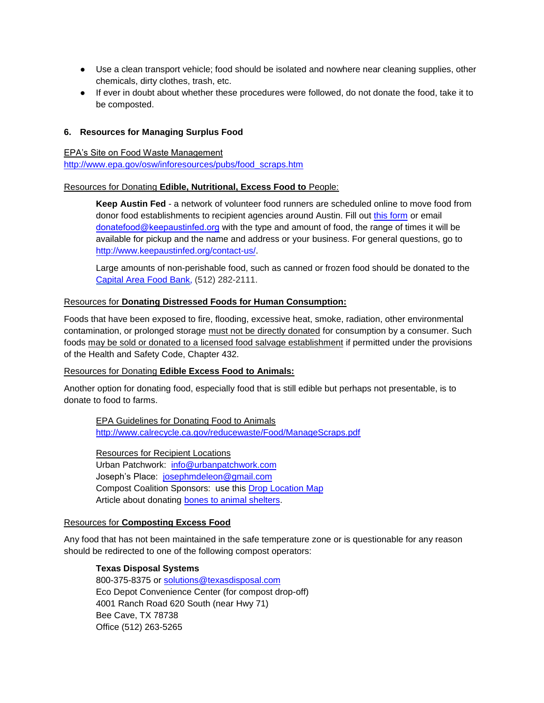- Use a clean transport vehicle; food should be isolated and nowhere near cleaning supplies, other chemicals, dirty clothes, trash, etc.
- If ever in doubt about whether these procedures were followed, do not donate the food, take it to be composted.

#### **6. Resources for Managing Surplus Food**

EPA's Site on Food Waste Management

[http://www.epa.gov/osw/inforesources/pubs/food\\_scraps.htm](http://www.epa.gov/osw/inforesources/pubs/food_scraps.htm)

#### Resources for Donating **Edible, Nutritional, Excess Food to** People:

**Keep Austin Fed** - a network of volunteer food runners are scheduled online to move food from donor food establishments to recipient agencies around Austin. Fill out [this form](http://www.keepaustinfed.org/donate/) or email donatefood@keepaustinfed.org with the type and amount of food, the range of times it will be available for pickup and the name and address or your business. For general questions, go to [http://www.keepaustinfed.org/contact-us/.](http://www.keepaustinfed.org/contact-us/) 

Large amounts of non-perishable food, such as canned or frozen food should be donated to the [Capital Area Food Bank,](http://www.austinfoodbank.org/) (512) 282-2111.

#### Resources for **Donating Distressed Foods for Human Consumption:**

Foods that have been exposed to fire, flooding, excessive heat, smoke, radiation, other environmental contamination, or prolonged storage must not be directly donated for consumption by a consumer. Such foods may be sold or donated to a licensed food salvage establishment if permitted under the provisions of the Health and Safety Code, Chapter 432.

#### Resources for Donating **Edible Excess Food to Animals:**

Another option for donating food, especially food that is still edible but perhaps not presentable, is to donate to food to farms.

EPA Guidelines for Donating Food to Animals <http://www.calrecycle.ca.gov/reducewaste/Food/ManageScraps.pdf>

Resources for Recipient Locations Urban Patchwork: [info@urbanpatchwork.com](mailto:info@urbanpatchwork.com) Joseph's Place: [josephmdeleon@gmail.com](mailto:josephmdeleon@gmail.com) Compost Coalition Sponsors: use this [Drop Location Map](http://compostcoalition.com/map-drop-locations/) Article about donating [bones to animal shelters.](http://www.statesman.com/news/news/local/barbecue-business-donates-rib-bones-to-dogs-at-s-1/nRNDz/)

#### Resources for **Composting Excess Food**

Any food that has not been maintained in the safe temperature zone or is questionable for any reason should be redirected to one of the following compost operators:

#### **Texas Disposal Systems**

800-375-8375 or [solutions@texasdisposal.com](mailto:solutions@texasdisposal.com) Eco Depot Convenience Center (for compost drop-off) 4001 Ranch Road 620 South (near Hwy 71) Bee Cave, TX 78738 Office (512) 263-5265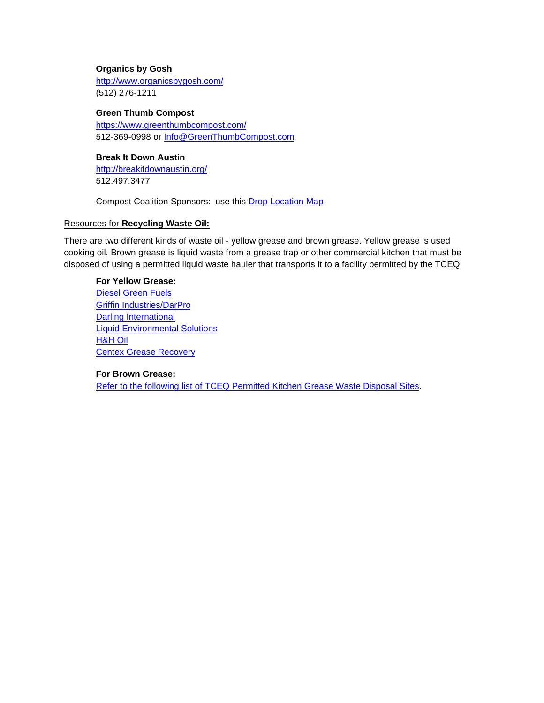#### **Organics by Gosh**

<http://www.organicsbygosh.com/> (512) 276-1211

#### **Green Thumb Compost**

<https://www.greenthumbcompost.com/> 512-369-0998 or [Info@GreenThumbCompost.com](mailto:Info@GreenThumbCompost.com)

#### **Break It Down Austin**

<http://breakitdownaustin.org/> 512.497.3477

Compost Coalition Sponsors: use this [Drop Location Map](http://compostcoalition.com/map-drop-locations/)

#### Resources for **Recycling Waste Oil:**

There are two different kinds of waste oil - yellow grease and brown grease. Yellow grease is used cooking oil. Brown grease is liquid waste from a grease trap or other commercial kitchen that must be disposed of using a permitted liquid waste hauler that transports it to a facility permitted by the TCEQ.

#### **For Yellow Grease:**

[Diesel Green Fuels](http://dieselgreenfuels.com/) [Griffin Industries/DarPro](http://www.darpro.com/) [Darling International](http://www.darlingii.com/) [Liquid Environmental Solutions](http://www.liquidenviro.com/) [H&H Oil](http://www.hhrecycling.com/) [Centex Grease Recovery](http://centexgreaserecovery.com/)

#### **For Brown Grease:**

[Refer to the following list of TCEQ Permitted Kitchen Grease Waste Disposal Sites.](http://austintexas.gov/sites/default/files/files/Water/SSD/Pretreatment/wwwssd_iw_lwh_greasewastedisposalsites.pdf)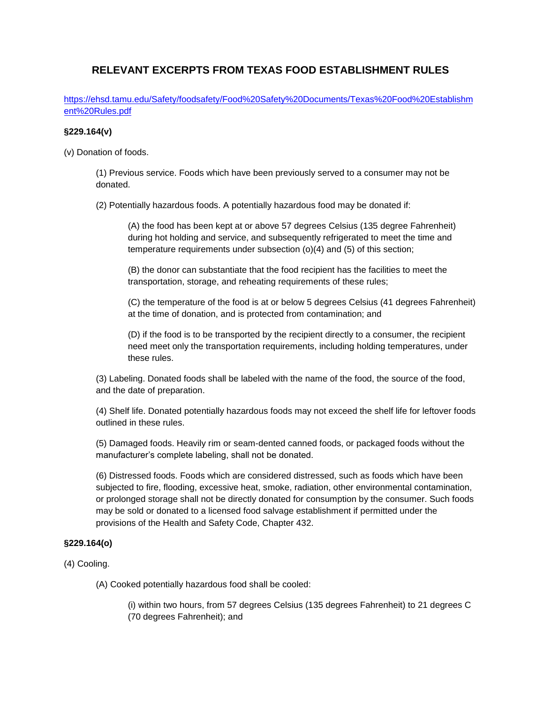### **RELEVANT EXCERPTS FROM TEXAS FOOD ESTABLISHMENT RULES**

[https://ehsd.tamu.edu/Safety/foodsafety/Food%20Safety%20Documents/Texas%20Food%20Establishm](https://ehsd.tamu.edu/Safety/foodsafety/Food%20Safety%20Documents/Texas%20Food%20Establishment%20Rules.pdf) [ent%20Rules.pdf](https://ehsd.tamu.edu/Safety/foodsafety/Food%20Safety%20Documents/Texas%20Food%20Establishment%20Rules.pdf)

#### **§229.164(v)**

(v) Donation of foods.

(1) Previous service. Foods which have been previously served to a consumer may not be donated.

(2) Potentially hazardous foods. A potentially hazardous food may be donated if:

(A) the food has been kept at or above 57 degrees Celsius (135 degree Fahrenheit) during hot holding and service, and subsequently refrigerated to meet the time and temperature requirements under subsection (o)(4) and (5) of this section;

(B) the donor can substantiate that the food recipient has the facilities to meet the transportation, storage, and reheating requirements of these rules;

(C) the temperature of the food is at or below 5 degrees Celsius (41 degrees Fahrenheit) at the time of donation, and is protected from contamination; and

(D) if the food is to be transported by the recipient directly to a consumer, the recipient need meet only the transportation requirements, including holding temperatures, under these rules.

(3) Labeling. Donated foods shall be labeled with the name of the food, the source of the food, and the date of preparation.

(4) Shelf life. Donated potentially hazardous foods may not exceed the shelf life for leftover foods outlined in these rules.

(5) Damaged foods. Heavily rim or seam-dented canned foods, or packaged foods without the manufacturer's complete labeling, shall not be donated.

(6) Distressed foods. Foods which are considered distressed, such as foods which have been subjected to fire, flooding, excessive heat, smoke, radiation, other environmental contamination, or prolonged storage shall not be directly donated for consumption by the consumer. Such foods may be sold or donated to a licensed food salvage establishment if permitted under the provisions of the Health and Safety Code, Chapter 432.

#### **§229.164(o)**

(4) Cooling.

(A) Cooked potentially hazardous food shall be cooled:

(i) within two hours, from 57 degrees Celsius (135 degrees Fahrenheit) to 21 degrees C (70 degrees Fahrenheit); and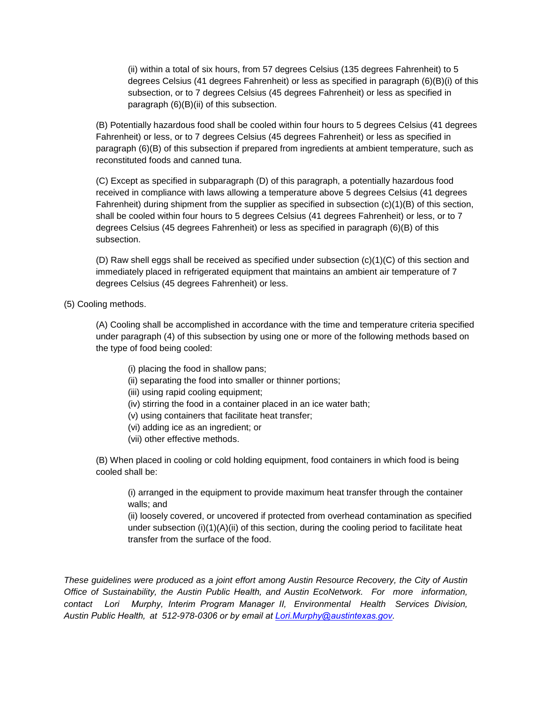(ii) within a total of six hours, from 57 degrees Celsius (135 degrees Fahrenheit) to 5 degrees Celsius (41 degrees Fahrenheit) or less as specified in paragraph (6)(B)(i) of this subsection, or to 7 degrees Celsius (45 degrees Fahrenheit) or less as specified in paragraph (6)(B)(ii) of this subsection.

(B) Potentially hazardous food shall be cooled within four hours to 5 degrees Celsius (41 degrees Fahrenheit) or less, or to 7 degrees Celsius (45 degrees Fahrenheit) or less as specified in paragraph (6)(B) of this subsection if prepared from ingredients at ambient temperature, such as reconstituted foods and canned tuna.

(C) Except as specified in subparagraph (D) of this paragraph, a potentially hazardous food received in compliance with laws allowing a temperature above 5 degrees Celsius (41 degrees Fahrenheit) during shipment from the supplier as specified in subsection (c)(1)(B) of this section, shall be cooled within four hours to 5 degrees Celsius (41 degrees Fahrenheit) or less, or to 7 degrees Celsius (45 degrees Fahrenheit) or less as specified in paragraph (6)(B) of this subsection.

(D) Raw shell eggs shall be received as specified under subsection (c)(1)(C) of this section and immediately placed in refrigerated equipment that maintains an ambient air temperature of 7 degrees Celsius (45 degrees Fahrenheit) or less.

(5) Cooling methods.

(A) Cooling shall be accomplished in accordance with the time and temperature criteria specified under paragraph (4) of this subsection by using one or more of the following methods based on the type of food being cooled:

- (i) placing the food in shallow pans;
- (ii) separating the food into smaller or thinner portions;
- (iii) using rapid cooling equipment;
- (iv) stirring the food in a container placed in an ice water bath;
- (v) using containers that facilitate heat transfer;
- (vi) adding ice as an ingredient; or
- (vii) other effective methods.

(B) When placed in cooling or cold holding equipment, food containers in which food is being cooled shall be:

(i) arranged in the equipment to provide maximum heat transfer through the container walls; and

(ii) loosely covered, or uncovered if protected from overhead contamination as specified under subsection  $(i)(1)(A)(ii)$  of this section, during the cooling period to facilitate heat transfer from the surface of the food.

*These guidelines were produced as a joint effort among Austin Resource Recovery, the City of Austin Office of Sustainability, the Austin Public Health, and Austin EcoNetwork. For more information, contact Lori Murphy, Interim Program Manager II, Environmental Health Services Division, Austin Public Health, at 512-978-0306 or by email at Lori.Murphy@austintexas.gov.*